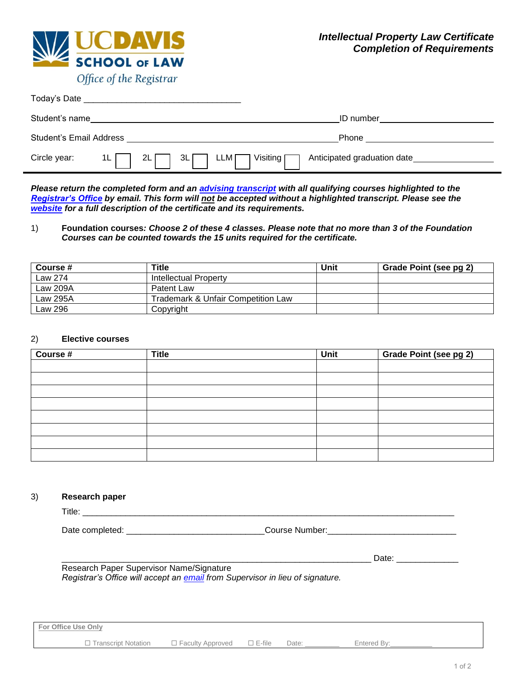

| Today's Date                   |                                                                                         |
|--------------------------------|-----------------------------------------------------------------------------------------|
| Student's name                 | <b>ID</b> number                                                                        |
| <b>Student's Email Address</b> | Phone                                                                                   |
| Circle year:<br>2L<br>1L       | Anticipated graduation date<br><sub>I</sub> Visiting <b>Γ</b><br>3L<br>LLM <sub>I</sub> |

*Please return the completed form and an [advising transcript](https://law.ucdavis.edu/registrar/transcripts-and-enrollment-verification.html) with all qualifying courses highlighted to the [Registrar's Office](mailto:registrar@law.ucdavis.edu) by email. This form will not be accepted without a highlighted transcript. Please see the [website](https://law.ucdavis.edu/registrar/transcripts-and-enrollment-verification.html) for a full description of the certificate and its requirements.*

## 1) **Foundation courses***: Choose 2 of these 4 classes. Please note that no more than 3 of the Foundation Courses can be counted towards the 15 units required for the certificate.*

| Course # | Title                                         | Unit | Grade Point (see pg 2) |
|----------|-----------------------------------------------|------|------------------------|
| Law 274  | Intellectual Property                         |      |                        |
| Law 209A | Patent Law                                    |      |                        |
| Law 295A | <b>Trademark &amp; Unfair Competition Law</b> |      |                        |
| Law 296  | Copyright                                     |      |                        |

## 2) **Elective courses**

| Course # | <b>Title</b> | Unit | <b>Grade Point (see pg 2)</b> |  |  |
|----------|--------------|------|-------------------------------|--|--|
|          |              |      |                               |  |  |
|          |              |      |                               |  |  |
|          |              |      |                               |  |  |
|          |              |      |                               |  |  |
|          |              |      |                               |  |  |
|          |              |      |                               |  |  |
|          |              |      |                               |  |  |
|          |              |      |                               |  |  |

## 3) **Research paper**

Title: \_\_\_\_\_\_\_\_\_\_\_\_\_\_\_\_\_\_\_\_\_\_\_\_\_\_\_\_\_\_\_\_\_\_\_\_\_\_\_\_\_\_\_\_\_\_\_\_\_\_\_\_\_\_\_\_\_\_\_\_\_\_\_\_\_\_\_\_\_\_\_\_\_\_\_\_\_\_ Date completed: \_\_\_\_\_\_\_\_\_\_\_\_\_\_\_\_\_\_\_\_\_\_\_\_\_\_\_\_\_Course Number:\_\_\_\_\_\_\_\_\_\_\_\_\_\_\_\_\_\_\_\_\_\_\_\_\_\_\_

\_\_\_\_\_\_\_\_\_\_\_\_\_\_\_\_\_\_\_\_\_\_\_\_\_\_\_\_\_\_\_\_\_\_\_\_\_\_\_\_\_\_\_\_\_\_\_\_\_\_\_\_\_\_\_\_\_\_\_\_\_\_\_\_\_ Date: \_\_\_\_\_\_\_\_\_\_\_\_\_ Research Paper Supervisor Name/Signature *Registrar's Office will accept an [email](mailto:registrar@law.ucdavis.edu) from Supervisor in lieu of signature.*